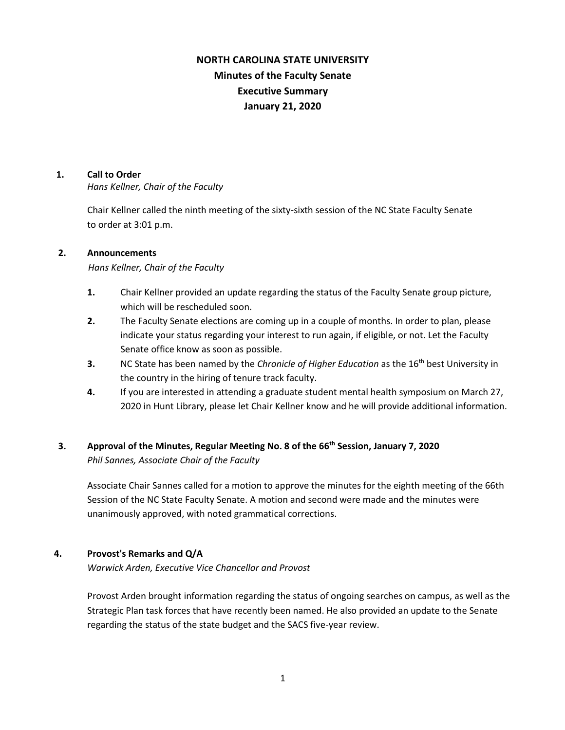# **NORTH CAROLINA STATE UNIVERSITY Minutes of the Faculty Senate Executive Summary January 21, 2020**

### **1. Call to Order**

*Hans Kellner, Chair of the Faculty*

Chair Kellner called the ninth meeting of the sixty-sixth session of the NC State Faculty Senate to order at 3:01 p.m.

### **2. Announcements**

*Hans Kellner, Chair of the Faculty*

- **1.** Chair Kellner provided an update regarding the status of the Faculty Senate group picture, which will be rescheduled soon.
- **2.** The Faculty Senate elections are coming up in a couple of months. In order to plan, please indicate your status regarding your interest to run again, if eligible, or not. Let the Faculty Senate office know as soon as possible.
- **3.** NC State has been named by the *Chronicle of Higher Education* as the 16<sup>th</sup> best University in the country in the hiring of tenure track faculty.
- **4.** If you are interested in attending a graduate student mental health symposium on March 27, 2020 in Hunt Library, please let Chair Kellner know and he will provide additional information.

# **3. Approval of the Minutes, Regular Meeting No. 8 of the 66th Session, January 7, 2020** *Phil Sannes, Associate Chair of the Faculty*

Associate Chair Sannes called for a motion to approve the minutes for the eighth meeting of the 66th Session of the NC State Faculty Senate. A motion and second were made and the minutes were unanimously approved, with noted grammatical corrections.

# **4. Provost's Remarks and Q/A**

*Warwick Arden, Executive Vice Chancellor and Provost*

Provost Arden brought information regarding the status of ongoing searches on campus, as well as the Strategic Plan task forces that have recently been named. He also provided an update to the Senate regarding the status of the state budget and the SACS five-year review.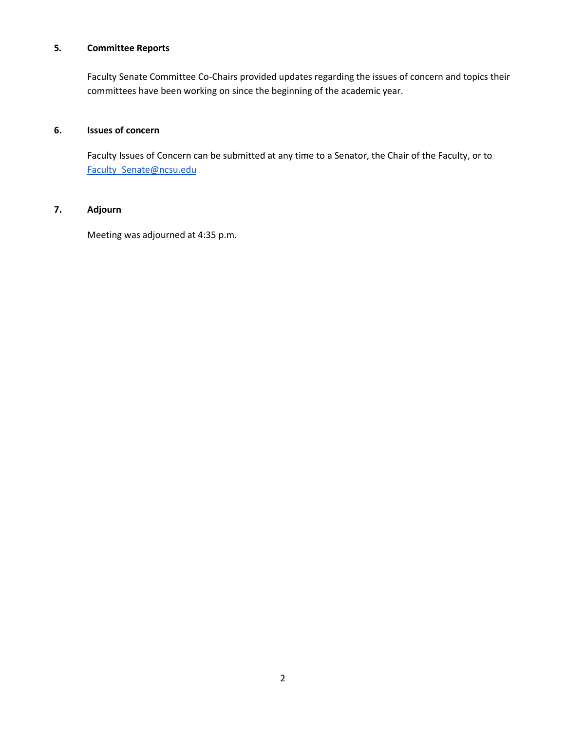## **5***.* **Committee Reports**

Faculty Senate Committee Co-Chairs provided updates regarding the issues of concern and topics their committees have been working on since the beginning of the academic year.

#### **6. Issues of concern**

 Faculty Issues of Concern can be submitted at any time to a Senator, the Chair of the Faculty, or to [Faculty\\_Senate@ncsu.edu](mailto:Faculty_Senate@ncsu.edu)

# **7. Adjourn**

Meeting was adjourned at 4:35 p.m.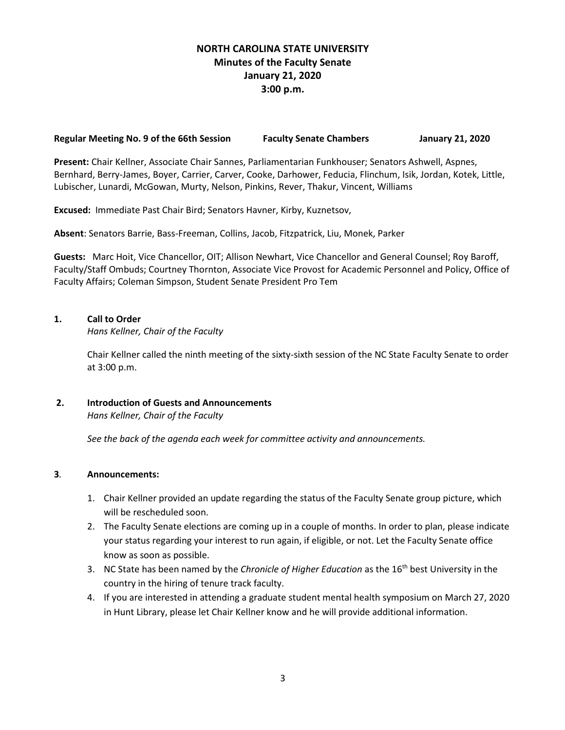# **NORTH CAROLINA STATE UNIVERSITY Minutes of the Faculty Senate January 21, 2020 3:00 p.m.**

### **Regular Meeting No. 9 of the 66th Session Faculty Senate Chambers January 21, 2020**

**Present:** Chair Kellner, Associate Chair Sannes, Parliamentarian Funkhouser; Senators Ashwell, Aspnes, Bernhard, Berry-James, Boyer, Carrier, Carver, Cooke, Darhower, Feducia, Flinchum, Isik, Jordan, Kotek, Little, Lubischer, Lunardi, McGowan, Murty, Nelson, Pinkins, Rever, Thakur, Vincent, Williams

**Excused:** Immediate Past Chair Bird; Senators Havner, Kirby, Kuznetsov,

**Absent**: Senators Barrie, Bass-Freeman, Collins, Jacob, Fitzpatrick, Liu, Monek, Parker

**Guests:** Marc Hoit, Vice Chancellor, OIT; Allison Newhart, Vice Chancellor and General Counsel; Roy Baroff, Faculty/Staff Ombuds; Courtney Thornton, Associate Vice Provost for Academic Personnel and Policy, Office of Faculty Affairs; Coleman Simpson, Student Senate President Pro Tem

### **1. Call to Order**

*Hans Kellner, Chair of the Faculty*

Chair Kellner called the ninth meeting of the sixty-sixth session of the NC State Faculty Senate to order at 3:00 p.m.

### **2. Introduction of Guests and Announcements** *Hans Kellner, Chair of the Faculty*

 *See the back of the agenda each week for committee activity and announcements.*

### **3***.* **Announcements:**

- 1. Chair Kellner provided an update regarding the status of the Faculty Senate group picture, which will be rescheduled soon.
- 2. The Faculty Senate elections are coming up in a couple of months. In order to plan, please indicate your status regarding your interest to run again, if eligible, or not. Let the Faculty Senate office know as soon as possible.
- 3. NC State has been named by the *Chronicle of Higher Education* as the 16th best University in the country in the hiring of tenure track faculty.
- 4. If you are interested in attending a graduate student mental health symposium on March 27, 2020 in Hunt Library, please let Chair Kellner know and he will provide additional information.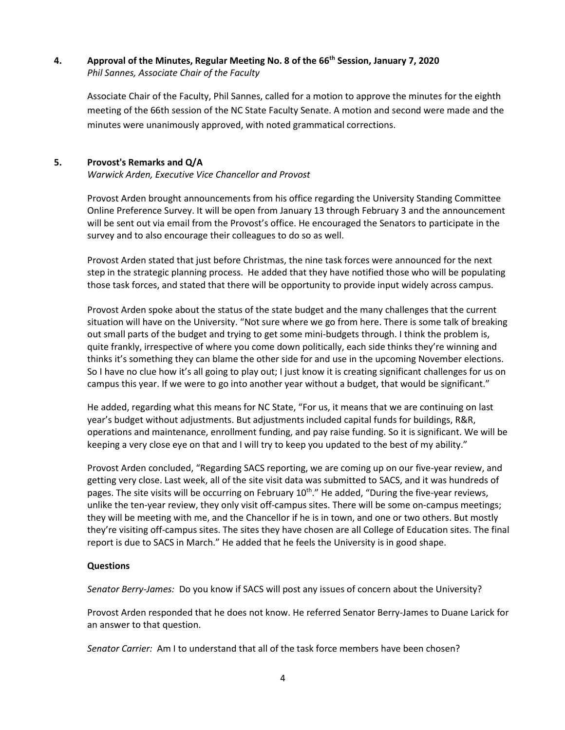### **4. Approval of the Minutes, Regular Meeting No. 8 of the 66th Session, January 7, 2020** *Phil Sannes, Associate Chair of the Faculty*

Associate Chair of the Faculty, Phil Sannes, called for a motion to approve the minutes for the eighth meeting of the 66th session of the NC State Faculty Senate. A motion and second were made and the minutes were unanimously approved, with noted grammatical corrections.

## **5. Provost's Remarks and Q/A**

*Warwick Arden, Executive Vice Chancellor and Provost* 

Provost Arden brought announcements from his office regarding the University Standing Committee Online Preference Survey. It will be open from January 13 through February 3 and the announcement will be sent out via email from the Provost's office. He encouraged the Senators to participate in the survey and to also encourage their colleagues to do so as well.

Provost Arden stated that just before Christmas, the nine task forces were announced for the next step in the strategic planning process. He added that they have notified those who will be populating those task forces, and stated that there will be opportunity to provide input widely across campus.

Provost Arden spoke about the status of the state budget and the many challenges that the current situation will have on the University. "Not sure where we go from here. There is some talk of breaking out small parts of the budget and trying to get some mini-budgets through. I think the problem is, quite frankly, irrespective of where you come down politically, each side thinks they're winning and thinks it's something they can blame the other side for and use in the upcoming November elections. So I have no clue how it's all going to play out; I just know it is creating significant challenges for us on campus this year. If we were to go into another year without a budget, that would be significant."

He added, regarding what this means for NC State, "For us, it means that we are continuing on last year's budget without adjustments. But adjustments included capital funds for buildings, R&R, operations and maintenance, enrollment funding, and pay raise funding. So it is significant. We will be keeping a very close eye on that and I will try to keep you updated to the best of my ability."

Provost Arden concluded, "Regarding SACS reporting, we are coming up on our five-year review, and getting very close. Last week, all of the site visit data was submitted to SACS, and it was hundreds of pages. The site visits will be occurring on February 10<sup>th</sup>." He added, "During the five-year reviews, unlike the ten-year review, they only visit off-campus sites. There will be some on-campus meetings; they will be meeting with me, and the Chancellor if he is in town, and one or two others. But mostly they're visiting off-campus sites. The sites they have chosen are all College of Education sites. The final report is due to SACS in March." He added that he feels the University is in good shape.

### **Questions**

*Senator Berry-James:* Do you know if SACS will post any issues of concern about the University?

Provost Arden responded that he does not know. He referred Senator Berry-James to Duane Larick for an answer to that question.

*Senator Carrier:* Am I to understand that all of the task force members have been chosen?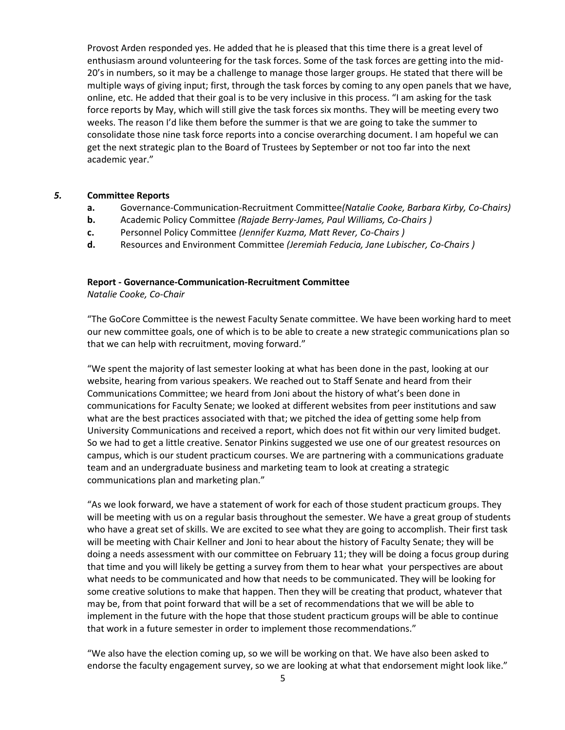Provost Arden responded yes. He added that he is pleased that this time there is a great level of enthusiasm around volunteering for the task forces. Some of the task forces are getting into the mid-20's in numbers, so it may be a challenge to manage those larger groups. He stated that there will be multiple ways of giving input; first, through the task forces by coming to any open panels that we have, online, etc. He added that their goal is to be very inclusive in this process. "I am asking for the task force reports by May, which will still give the task forces six months. They will be meeting every two weeks. The reason I'd like them before the summer is that we are going to take the summer to consolidate those nine task force reports into a concise overarching document. I am hopeful we can get the next strategic plan to the Board of Trustees by September or not too far into the next academic year."

#### *5.* **Committee Reports**

- **a.** Governance-Communication-Recruitment Committee*(Natalie Cooke, Barbara Kirby, Co-Chairs)*
- **b.** Academic Policy Committee *(Rajade Berry-James, Paul Williams, Co-Chairs )*
- **c.** Personnel Policy Committee *(Jennifer Kuzma, Matt Rever, Co-Chairs )*
- **d.** Resources and Environment Committee *(Jeremiah Feducia, Jane Lubischer, Co-Chairs )*

#### **Report - Governance-Communication-Recruitment Committee**

*Natalie Cooke, Co-Chair*

"The GoCore Committee is the newest Faculty Senate committee. We have been working hard to meet our new committee goals, one of which is to be able to create a new strategic communications plan so that we can help with recruitment, moving forward."

"We spent the majority of last semester looking at what has been done in the past, looking at our website, hearing from various speakers. We reached out to Staff Senate and heard from their Communications Committee; we heard from Joni about the history of what's been done in communications for Faculty Senate; we looked at different websites from peer institutions and saw what are the best practices associated with that; we pitched the idea of getting some help from University Communications and received a report, which does not fit within our very limited budget. So we had to get a little creative. Senator Pinkins suggested we use one of our greatest resources on campus, which is our student practicum courses. We are partnering with a communications graduate team and an undergraduate business and marketing team to look at creating a strategic communications plan and marketing plan."

"As we look forward, we have a statement of work for each of those student practicum groups. They will be meeting with us on a regular basis throughout the semester. We have a great group of students who have a great set of skills. We are excited to see what they are going to accomplish. Their first task will be meeting with Chair Kellner and Joni to hear about the history of Faculty Senate; they will be doing a needs assessment with our committee on February 11; they will be doing a focus group during that time and you will likely be getting a survey from them to hear what your perspectives are about what needs to be communicated and how that needs to be communicated. They will be looking for some creative solutions to make that happen. Then they will be creating that product, whatever that may be, from that point forward that will be a set of recommendations that we will be able to implement in the future with the hope that those student practicum groups will be able to continue that work in a future semester in order to implement those recommendations."

"We also have the election coming up, so we will be working on that. We have also been asked to endorse the faculty engagement survey, so we are looking at what that endorsement might look like."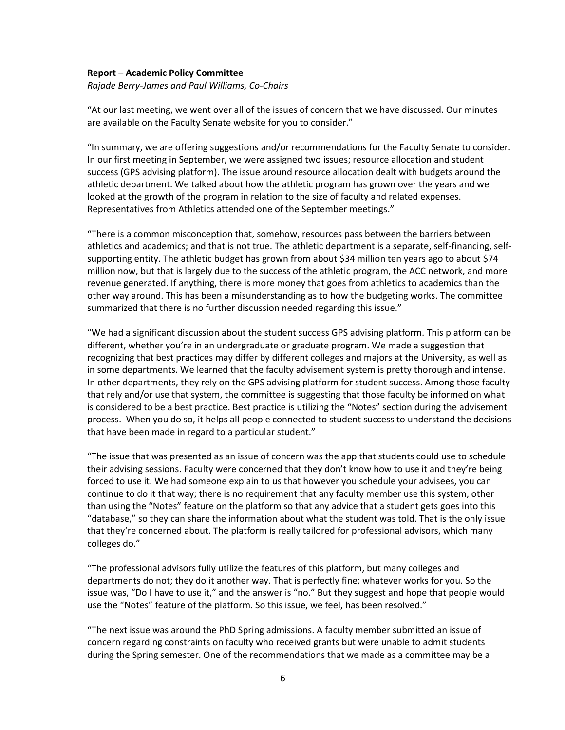#### **Report – Academic Policy Committee**

*Rajade Berry-James and Paul Williams, Co-Chairs*

"At our last meeting, we went over all of the issues of concern that we have discussed. Our minutes are available on the Faculty Senate website for you to consider."

"In summary, we are offering suggestions and/or recommendations for the Faculty Senate to consider. In our first meeting in September, we were assigned two issues; resource allocation and student success (GPS advising platform). The issue around resource allocation dealt with budgets around the athletic department. We talked about how the athletic program has grown over the years and we looked at the growth of the program in relation to the size of faculty and related expenses. Representatives from Athletics attended one of the September meetings."

"There is a common misconception that, somehow, resources pass between the barriers between athletics and academics; and that is not true. The athletic department is a separate, self-financing, selfsupporting entity. The athletic budget has grown from about \$34 million ten years ago to about \$74 million now, but that is largely due to the success of the athletic program, the ACC network, and more revenue generated. If anything, there is more money that goes from athletics to academics than the other way around. This has been a misunderstanding as to how the budgeting works. The committee summarized that there is no further discussion needed regarding this issue."

"We had a significant discussion about the student success GPS advising platform. This platform can be different, whether you're in an undergraduate or graduate program. We made a suggestion that recognizing that best practices may differ by different colleges and majors at the University, as well as in some departments. We learned that the faculty advisement system is pretty thorough and intense. In other departments, they rely on the GPS advising platform for student success. Among those faculty that rely and/or use that system, the committee is suggesting that those faculty be informed on what is considered to be a best practice. Best practice is utilizing the "Notes" section during the advisement process. When you do so, it helps all people connected to student success to understand the decisions that have been made in regard to a particular student."

"The issue that was presented as an issue of concern was the app that students could use to schedule their advising sessions. Faculty were concerned that they don't know how to use it and they're being forced to use it. We had someone explain to us that however you schedule your advisees, you can continue to do it that way; there is no requirement that any faculty member use this system, other than using the "Notes" feature on the platform so that any advice that a student gets goes into this "database," so they can share the information about what the student was told. That is the only issue that they're concerned about. The platform is really tailored for professional advisors, which many colleges do."

"The professional advisors fully utilize the features of this platform, but many colleges and departments do not; they do it another way. That is perfectly fine; whatever works for you. So the issue was, "Do I have to use it," and the answer is "no." But they suggest and hope that people would use the "Notes" feature of the platform. So this issue, we feel, has been resolved."

"The next issue was around the PhD Spring admissions. A faculty member submitted an issue of concern regarding constraints on faculty who received grants but were unable to admit students during the Spring semester. One of the recommendations that we made as a committee may be a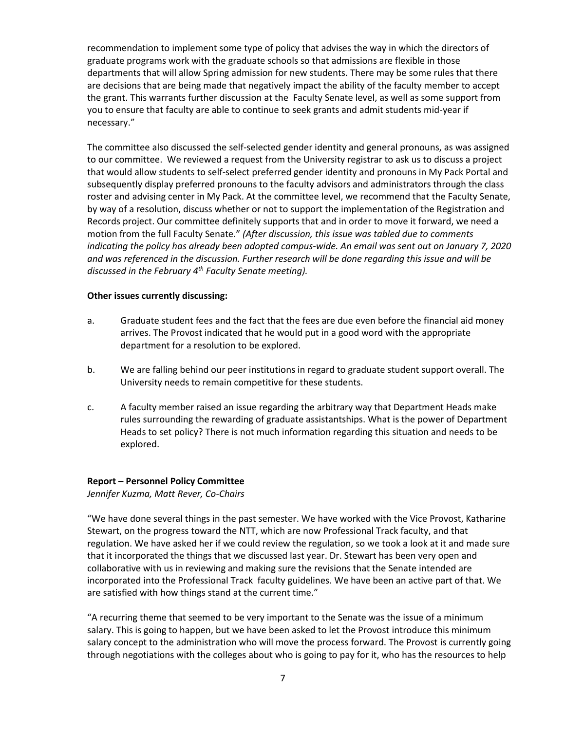recommendation to implement some type of policy that advises the way in which the directors of graduate programs work with the graduate schools so that admissions are flexible in those departments that will allow Spring admission for new students. There may be some rules that there are decisions that are being made that negatively impact the ability of the faculty member to accept the grant. This warrants further discussion at the Faculty Senate level, as well as some support from you to ensure that faculty are able to continue to seek grants and admit students mid-year if necessary."

The committee also discussed the self-selected gender identity and general pronouns, as was assigned to our committee. We reviewed a request from the University registrar to ask us to discuss a project that would allow students to self-select preferred gender identity and pronouns in My Pack Portal and subsequently display preferred pronouns to the faculty advisors and administrators through the class roster and advising center in My Pack. At the committee level, we recommend that the Faculty Senate, by way of a resolution, discuss whether or not to support the implementation of the Registration and Records project. Our committee definitely supports that and in order to move it forward, we need a motion from the full Faculty Senate." *(After discussion, this issue was tabled due to comments indicating the policy has already been adopted campus-wide. An email was sent out on January 7, 2020 and was referenced in the discussion. Further research will be done regarding this issue and will be discussed in the February 4th Faculty Senate meeting).*

#### **Other issues currently discussing:**

- a. Graduate student fees and the fact that the fees are due even before the financial aid money arrives. The Provost indicated that he would put in a good word with the appropriate department for a resolution to be explored.
- b. We are falling behind our peer institutions in regard to graduate student support overall. The University needs to remain competitive for these students.
- c. A faculty member raised an issue regarding the arbitrary way that Department Heads make rules surrounding the rewarding of graduate assistantships. What is the power of Department Heads to set policy? There is not much information regarding this situation and needs to be explored.

#### **Report – Personnel Policy Committee**

*Jennifer Kuzma, Matt Rever, Co-Chairs*

"We have done several things in the past semester. We have worked with the Vice Provost, Katharine Stewart, on the progress toward the NTT, which are now Professional Track faculty, and that regulation. We have asked her if we could review the regulation, so we took a look at it and made sure that it incorporated the things that we discussed last year. Dr. Stewart has been very open and collaborative with us in reviewing and making sure the revisions that the Senate intended are incorporated into the Professional Track faculty guidelines. We have been an active part of that. We are satisfied with how things stand at the current time."

"A recurring theme that seemed to be very important to the Senate was the issue of a minimum salary. This is going to happen, but we have been asked to let the Provost introduce this minimum salary concept to the administration who will move the process forward. The Provost is currently going through negotiations with the colleges about who is going to pay for it, who has the resources to help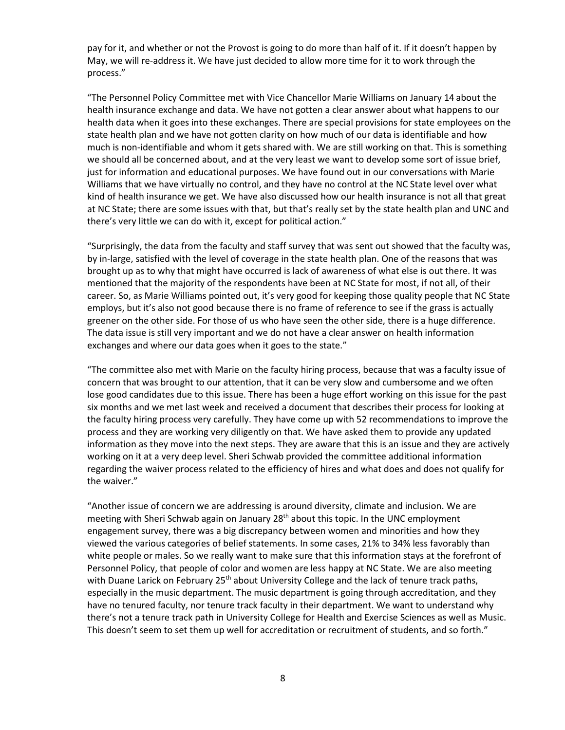pay for it, and whether or not the Provost is going to do more than half of it. If it doesn't happen by May, we will re-address it. We have just decided to allow more time for it to work through the process."

"The Personnel Policy Committee met with Vice Chancellor Marie Williams on January 14 about the health insurance exchange and data. We have not gotten a clear answer about what happens to our health data when it goes into these exchanges. There are special provisions for state employees on the state health plan and we have not gotten clarity on how much of our data is identifiable and how much is non-identifiable and whom it gets shared with. We are still working on that. This is something we should all be concerned about, and at the very least we want to develop some sort of issue brief, just for information and educational purposes. We have found out in our conversations with Marie Williams that we have virtually no control, and they have no control at the NC State level over what kind of health insurance we get. We have also discussed how our health insurance is not all that great at NC State; there are some issues with that, but that's really set by the state health plan and UNC and there's very little we can do with it, except for political action."

"Surprisingly, the data from the faculty and staff survey that was sent out showed that the faculty was, by in-large, satisfied with the level of coverage in the state health plan. One of the reasons that was brought up as to why that might have occurred is lack of awareness of what else is out there. It was mentioned that the majority of the respondents have been at NC State for most, if not all, of their career. So, as Marie Williams pointed out, it's very good for keeping those quality people that NC State employs, but it's also not good because there is no frame of reference to see if the grass is actually greener on the other side. For those of us who have seen the other side, there is a huge difference. The data issue is still very important and we do not have a clear answer on health information exchanges and where our data goes when it goes to the state."

"The committee also met with Marie on the faculty hiring process, because that was a faculty issue of concern that was brought to our attention, that it can be very slow and cumbersome and we often lose good candidates due to this issue. There has been a huge effort working on this issue for the past six months and we met last week and received a document that describes their process for looking at the faculty hiring process very carefully. They have come up with 52 recommendations to improve the process and they are working very diligently on that. We have asked them to provide any updated information as they move into the next steps. They are aware that this is an issue and they are actively working on it at a very deep level. Sheri Schwab provided the committee additional information regarding the waiver process related to the efficiency of hires and what does and does not qualify for the waiver."

"Another issue of concern we are addressing is around diversity, climate and inclusion. We are meeting with Sheri Schwab again on January  $28<sup>th</sup>$  about this topic. In the UNC employment engagement survey, there was a big discrepancy between women and minorities and how they viewed the various categories of belief statements. In some cases, 21% to 34% less favorably than white people or males. So we really want to make sure that this information stays at the forefront of Personnel Policy, that people of color and women are less happy at NC State. We are also meeting with Duane Larick on February  $25<sup>th</sup>$  about University College and the lack of tenure track paths, especially in the music department. The music department is going through accreditation, and they have no tenured faculty, nor tenure track faculty in their department. We want to understand why there's not a tenure track path in University College for Health and Exercise Sciences as well as Music. This doesn't seem to set them up well for accreditation or recruitment of students, and so forth."